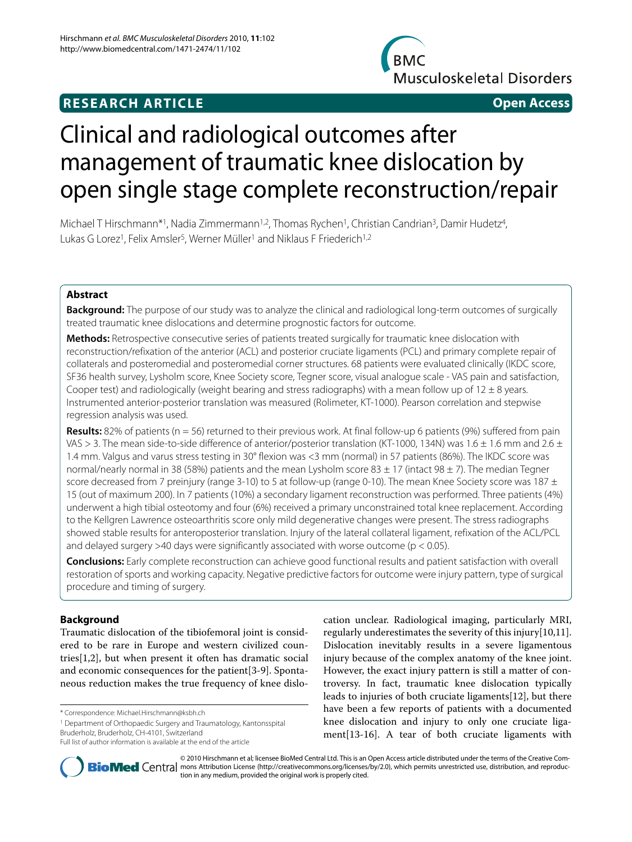## **RESEARCH ARTICLE Open Access**



# Clinical and radiological outcomes after management of traumatic knee dislocation by open single stage complete reconstruction/repair

Michael T Hirschmann<sup>\*1</sup>, Nadia Zimmermann<sup>1,2</sup>, Thomas Rychen<sup>1</sup>, Christian Candrian<sup>3</sup>, Damir Hudetz<sup>4</sup>, Lukas G Lorez<sup>1</sup>, Felix Amsler<sup>5</sup>, Werner Müller<sup>1</sup> and Niklaus F Friederich<sup>1,2</sup>

## **Abstract**

**Background:** The purpose of our study was to analyze the clinical and radiological long-term outcomes of surgically treated traumatic knee dislocations and determine prognostic factors for outcome.

**Methods:** Retrospective consecutive series of patients treated surgically for traumatic knee dislocation with reconstruction/refixation of the anterior (ACL) and posterior cruciate ligaments (PCL) and primary complete repair of collaterals and posteromedial and posteromedial corner structures. 68 patients were evaluated clinically (IKDC score, SF36 health survey, Lysholm score, Knee Society score, Tegner score, visual analogue scale - VAS pain and satisfaction, Cooper test) and radiologically (weight bearing and stress radiographs) with a mean follow up of  $12 \pm 8$  years. Instrumented anterior-posterior translation was measured (Rolimeter, KT-1000). Pearson correlation and stepwise regression analysis was used.

**Results:** 82% of patients (n = 56) returned to their previous work. At final follow-up 6 patients (9%) suffered from pain VAS > 3. The mean side-to-side difference of anterior/posterior translation (KT-1000, 134N) was 1.6  $\pm$  1.6 mm and 2.6  $\pm$ 1.4 mm. Valgus and varus stress testing in 30° flexion was <3 mm (normal) in 57 patients (86%). The IKDC score was normal/nearly normal in 38 (58%) patients and the mean Lysholm score 83  $\pm$  17 (intact 98  $\pm$  7). The median Tegner score decreased from 7 preinjury (range 3-10) to 5 at follow-up (range 0-10). The mean Knee Society score was 187  $\pm$ 15 (out of maximum 200). In 7 patients (10%) a secondary ligament reconstruction was performed. Three patients (4%) underwent a high tibial osteotomy and four (6%) received a primary unconstrained total knee replacement. According to the Kellgren Lawrence osteoarthritis score only mild degenerative changes were present. The stress radiographs showed stable results for anteroposterior translation. Injury of the lateral collateral ligament, refixation of the ACL/PCL and delayed surgery  $>40$  days were significantly associated with worse outcome ( $p < 0.05$ ).

**Conclusions:** Early complete reconstruction can achieve good functional results and patient satisfaction with overall restoration of sports and working capacity. Negative predictive factors for outcome were injury pattern, type of surgical procedure and timing of surgery.

## **Background**

Traumatic dislocation of the tibiofemoral joint is considered to be rare in Europe and western civilized countries[[1,](#page-9-0)[2\]](#page-9-1), but when present it often has dramatic social and economic consequences for the patient[[3-](#page-9-2)[9](#page-10-0)]. Spontaneous reduction makes the true frequency of knee dislo-

\* Correspondence: Michael.Hirschmann@ksbh.ch

1 Department of Orthopaedic Surgery and Traumatology, Kantonsspital Bruderholz, Bruderholz, CH-4101, Switzerland

cation unclear. Radiological imaging, particularly MRI, regularly underestimates the severity of this injury[\[10](#page-10-1)[,11](#page-10-2)]. Dislocation inevitably results in a severe ligamentous injury because of the complex anatomy of the knee joint. However, the exact injury pattern is still a matter of controversy. In fact, traumatic knee dislocation typically leads to injuries of both cruciate ligaments[\[12\]](#page-10-3), but there have been a few reports of patients with a documented knee dislocation and injury to only one cruciate ligament[\[13](#page-10-4)-[16](#page-10-5)]. A tear of both cruciate ligaments with



© 2010 Hirschmann et al; licensee BioMed Central Ltd. This is an Open Access article distributed under the terms of the Creative Com-**BioMed** Central mons Attribution License (http://creativecommons.org/licenses/by/2.0), which permits unrestricted use, distribution, and reproduction in any medium, provided the original work is properly cited.

Full list of author information is available at the end of the article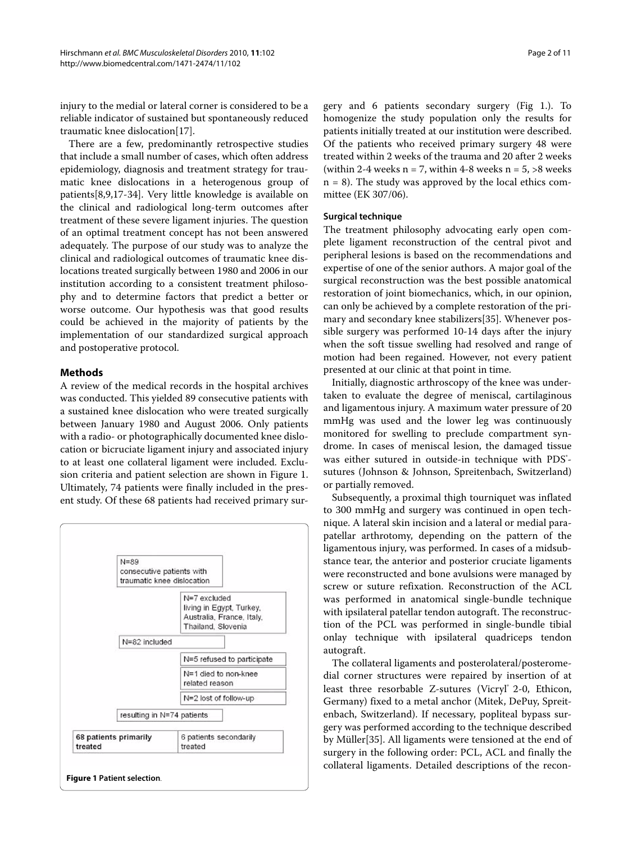injury to the medial or lateral corner is considered to be a reliable indicator of sustained but spontaneously reduced traumatic knee dislocation[\[17](#page-10-6)].

There are a few, predominantly retrospective studies that include a small number of cases, which often address epidemiology, diagnosis and treatment strategy for traumatic knee dislocations in a heterogenous group of patients[\[8](#page-9-3),[9](#page-10-0),[17-](#page-10-6)[34\]](#page-10-7). Very little knowledge is available on the clinical and radiological long-term outcomes after treatment of these severe ligament injuries. The question of an optimal treatment concept has not been answered adequately. The purpose of our study was to analyze the clinical and radiological outcomes of traumatic knee dislocations treated surgically between 1980 and 2006 in our institution according to a consistent treatment philosophy and to determine factors that predict a better or worse outcome. Our hypothesis was that good results could be achieved in the majority of patients by the implementation of our standardized surgical approach and postoperative protocol.

#### **Methods**

A review of the medical records in the hospital archives was conducted. This yielded 89 consecutive patients with a sustained knee dislocation who were treated surgically between January 1980 and August 2006. Only patients with a radio- or photographically documented knee dislocation or bicruciate ligament injury and associated injury to at least one collateral ligament were included. Exclusion criteria and patient selection are shown in Figure [1](#page-1-0). Ultimately, 74 patients were finally included in the present study. Of these 68 patients had received primary sur-

<span id="page-1-0"></span>

gery and 6 patients secondary surgery (Fig [1.](#page-1-0)). To homogenize the study population only the results for patients initially treated at our institution were described. Of the patients who received primary surgery 48 were treated within 2 weeks of the trauma and 20 after 2 weeks (within 2-4 weeks  $n = 7$ , within 4-8 weeks  $n = 5, >8$  weeks  $n = 8$ ). The study was approved by the local ethics committee (EK 307/06).

#### **Surgical technique**

The treatment philosophy advocating early open complete ligament reconstruction of the central pivot and peripheral lesions is based on the recommendations and expertise of one of the senior authors. A major goal of the surgical reconstruction was the best possible anatomical restoration of joint biomechanics, which, in our opinion, can only be achieved by a complete restoration of the primary and secondary knee stabilizers[\[35](#page-10-8)]. Whenever possible surgery was performed 10-14 days after the injury when the soft tissue swelling had resolved and range of motion had been regained. However, not every patient presented at our clinic at that point in time.

Initially, diagnostic arthroscopy of the knee was undertaken to evaluate the degree of meniscal, cartilaginous and ligamentous injury. A maximum water pressure of 20 mmHg was used and the lower leg was continuously monitored for swelling to preclude compartment syndrome. In cases of meniscal lesion, the damaged tissue was either sutured in outside-in technique with PDS<sup>®</sup>sutures (Johnson & Johnson, Spreitenbach, Switzerland) or partially removed.

Subsequently, a proximal thigh tourniquet was inflated to 300 mmHg and surgery was continued in open technique. A lateral skin incision and a lateral or medial parapatellar arthrotomy, depending on the pattern of the ligamentous injury, was performed. In cases of a midsubstance tear, the anterior and posterior cruciate ligaments were reconstructed and bone avulsions were managed by screw or suture refixation. Reconstruction of the ACL was performed in anatomical single-bundle technique with ipsilateral patellar tendon autograft. The reconstruction of the PCL was performed in single-bundle tibial onlay technique with ipsilateral quadriceps tendon autograft.

The collateral ligaments and posterolateral/posteromedial corner structures were repaired by insertion of at least three resorbable Z-sutures (Vicryl® 2-0, Ethicon, Germany) fixed to a metal anchor (Mitek, DePuy, Spreitenbach, Switzerland). If necessary, popliteal bypass surgery was performed according to the technique described by Müller[[35\]](#page-10-8). All ligaments were tensioned at the end of surgery in the following order: PCL, ACL and finally the collateral ligaments. Detailed descriptions of the recon-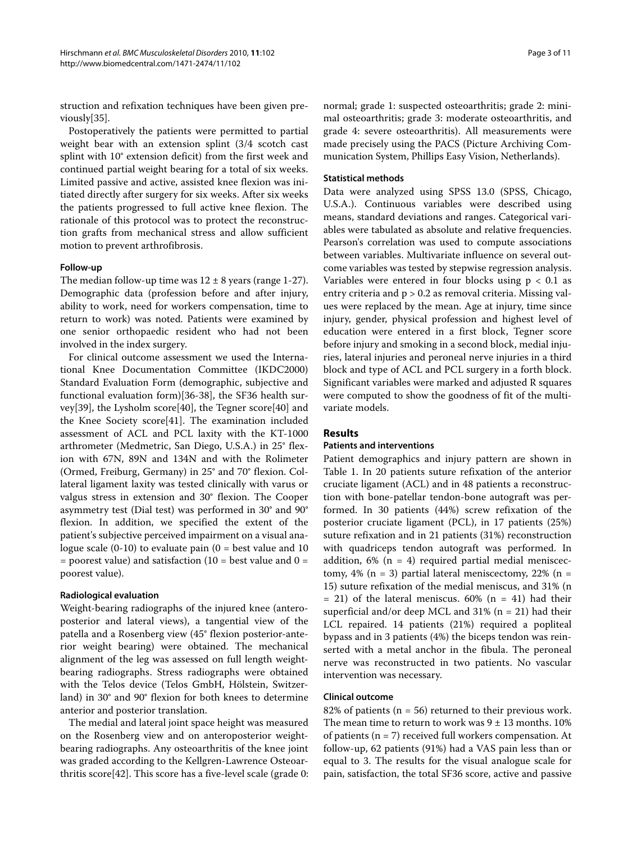struction and refixation techniques have been given previously[\[35](#page-10-8)].

Postoperatively the patients were permitted to partial weight bear with an extension splint (3/4 scotch cast splint with 10° extension deficit) from the first week and continued partial weight bearing for a total of six weeks. Limited passive and active, assisted knee flexion was initiated directly after surgery for six weeks. After six weeks the patients progressed to full active knee flexion. The rationale of this protocol was to protect the reconstruction grafts from mechanical stress and allow sufficient motion to prevent arthrofibrosis.

#### **Follow-up**

The median follow-up time was  $12 \pm 8$  years (range 1-27). Demographic data (profession before and after injury, ability to work, need for workers compensation, time to return to work) was noted. Patients were examined by one senior orthopaedic resident who had not been involved in the index surgery.

For clinical outcome assessment we used the International Knee Documentation Committee (IKDC2000) Standard Evaluation Form (demographic, subjective and functional evaluation form)[[36](#page-10-9)[-38](#page-10-10)], the SF36 health survey[[39](#page-10-11)], the Lysholm score[[40](#page-10-12)], the Tegner score[[40](#page-10-12)] and the Knee Society score[[41\]](#page-10-13). The examination included assessment of ACL and PCL laxity with the KT-1000 arthrometer (Medmetric, San Diego, U.S.A.) in 25° flexion with 67N, 89N and 134N and with the Rolimeter (Ormed, Freiburg, Germany) in 25° and 70° flexion. Collateral ligament laxity was tested clinically with varus or valgus stress in extension and 30° flexion. The Cooper asymmetry test (Dial test) was performed in 30° and 90° flexion. In addition, we specified the extent of the patient's subjective perceived impairment on a visual analogue scale  $(0-10)$  to evaluate pain  $(0 = best$  value and 10  $=$  poorest value) and satisfaction (10  $=$  best value and 0  $=$ poorest value).

## **Radiological evaluation**

Weight-bearing radiographs of the injured knee (anteroposterior and lateral views), a tangential view of the patella and a Rosenberg view (45° flexion posterior-anterior weight bearing) were obtained. The mechanical alignment of the leg was assessed on full length weightbearing radiographs. Stress radiographs were obtained with the Telos device (Telos GmbH, Hölstein, Switzerland) in 30° and 90° flexion for both knees to determine anterior and posterior translation.

The medial and lateral joint space height was measured on the Rosenberg view and on anteroposterior weightbearing radiographs. Any osteoarthritis of the knee joint was graded according to the Kellgren-Lawrence Osteoarthritis score[\[42](#page-10-14)]. This score has a five-level scale (grade 0:

normal; grade 1: suspected osteoarthritis; grade 2: minimal osteoarthritis; grade 3: moderate osteoarthritis, and grade 4: severe osteoarthritis). All measurements were made precisely using the PACS (Picture Archiving Communication System, Phillips Easy Vision, Netherlands).

#### **Statistical methods**

Data were analyzed using SPSS 13.0 (SPSS, Chicago, U.S.A.). Continuous variables were described using means, standard deviations and ranges. Categorical variables were tabulated as absolute and relative frequencies. Pearson's correlation was used to compute associations between variables. Multivariate influence on several outcome variables was tested by stepwise regression analysis. Variables were entered in four blocks using  $p < 0.1$  as entry criteria and p > 0.2 as removal criteria. Missing values were replaced by the mean. Age at injury, time since injury, gender, physical profession and highest level of education were entered in a first block, Tegner score before injury and smoking in a second block, medial injuries, lateral injuries and peroneal nerve injuries in a third block and type of ACL and PCL surgery in a forth block. Significant variables were marked and adjusted R squares were computed to show the goodness of fit of the multivariate models.

## **Results**

#### **Patients and interventions**

Patient demographics and injury pattern are shown in Table 1. In 20 patients suture refixation of the anterior cruciate ligament (ACL) and in 48 patients a reconstruction with bone-patellar tendon-bone autograft was performed. In 30 patients (44%) screw refixation of the posterior cruciate ligament (PCL), in 17 patients (25%) suture refixation and in 21 patients (31%) reconstruction with quadriceps tendon autograft was performed. In addition,  $6\%$  (n = 4) required partial medial meniscectomy, 4% ( $n = 3$ ) partial lateral meniscectomy, 22% ( $n =$ 15) suture refixation of the medial meniscus, and 31% (n  $= 21$ ) of the lateral meniscus. 60% (n  $= 41$ ) had their superficial and/or deep MCL and  $31\%$  (n = 21) had their LCL repaired. 14 patients (21%) required a popliteal bypass and in 3 patients (4%) the biceps tendon was reinserted with a metal anchor in the fibula. The peroneal nerve was reconstructed in two patients. No vascular intervention was necessary.

## **Clinical outcome**

82% of patients ( $n = 56$ ) returned to their previous work. The mean time to return to work was  $9 \pm 13$  months. 10% of patients (n = 7) received full workers compensation. At follow-up, 62 patients (91%) had a VAS pain less than or equal to 3. The results for the visual analogue scale for pain, satisfaction, the total SF36 score, active and passive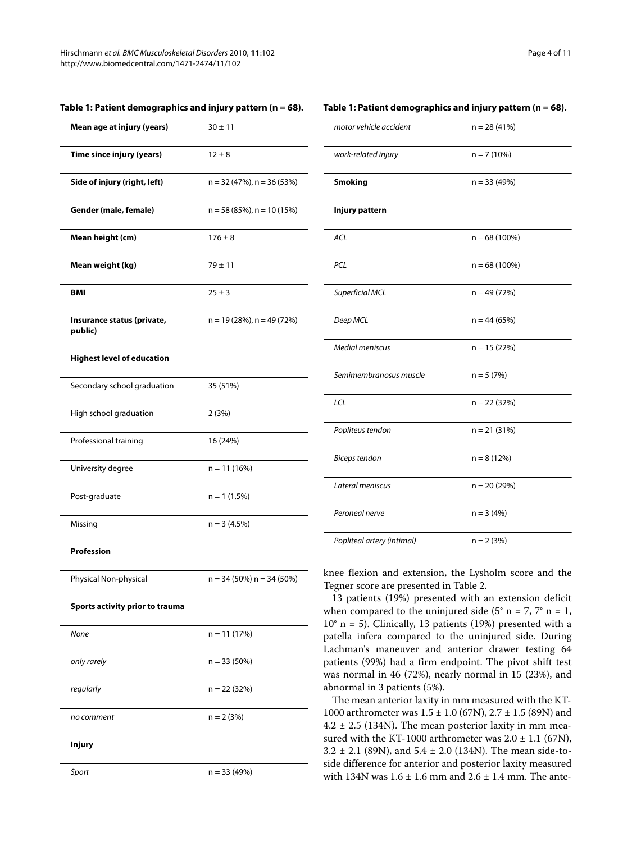| Mean age at injury (years)            | $30 \pm 11$                     |
|---------------------------------------|---------------------------------|
| Time since injury (years)             | $12 \pm 8$                      |
| Side of injury (right, left)          | $n = 32 (47%)$ , $n = 36 (53%)$ |
| Gender (male, female)                 | $n = 58(85\%)$ , $n = 10(15\%)$ |
| Mean height (cm)                      | $176 \pm 8$                     |
| Mean weight (kg)                      | $79 + 11$                       |
| BMI                                   | $25 \pm 3$                      |
| Insurance status (private,<br>public) | $n = 19(28%)$ , $n = 49(72%)$   |
| <b>Highest level of education</b>     |                                 |
| Secondary school graduation           | 35 (51%)                        |
| High school graduation                | 2(3%)                           |
| Professional training                 | 16 (24%)                        |
| University degree                     | $n = 11(16%)$                   |
| Post-graduate                         | $n = 1$ (1.5%)                  |
| Missing                               | $n = 3(4.5%)$                   |
| <b>Profession</b>                     |                                 |
| Physical Non-physical                 | $n = 34 (50\%) n = 34 (50\%)$   |
| Sports activity prior to trauma       |                                 |
| None                                  | $n = 11(17%)$                   |
| only rarely                           | $n = 33(50%)$                   |
| regularly                             | n = 22 (32%)                    |
| no comment                            | $n = 2 (3%)$                    |
|                                       |                                 |

**Injury**

Sport  $n = 33 (49%)$ 

#### **Table 1: Patient demographics and injury pattern (n = 68).**

#### **Table 1: Patient demographics and injury pattern (n = 68).**

| motor vehicle accident     | $n = 28(41%)$   |
|----------------------------|-----------------|
| work-related injury        | $n = 7(10%)$    |
| <b>Smoking</b>             | $n = 33(49%)$   |
| Injury pattern             |                 |
| ACL                        | $n = 68(100\%)$ |
| PCL                        | $n = 68(100\%)$ |
| Superficial MCL            | $n = 49(72%)$   |
| Deep MCL                   | $n = 44(65%)$   |
| <b>Medial meniscus</b>     | $n = 15(22%)$   |
| Semimembranosus muscle     | $n = 5(7%)$     |
| LCL                        | $n = 22(32%)$   |
| Popliteus tendon           | $n = 21(31%)$   |
| <b>Biceps tendon</b>       | $n = 8(12%)$    |
| Lateral meniscus           | $n = 20(29%)$   |
| Peroneal nerve             | $n = 3(4%)$     |
| Popliteal artery (intimal) | $n = 2 (3%)$    |

knee flexion and extension, the Lysholm score and the Tegner score are presented in Table 2.

13 patients (19%) presented with an extension deficit when compared to the uninjured side  $(5° n = 7, 7° n = 1,$  $10^\circ$  n = 5). Clinically, 13 patients (19%) presented with a patella infera compared to the uninjured side. During Lachman's maneuver and anterior drawer testing 64 patients (99%) had a firm endpoint. The pivot shift test was normal in 46 (72%), nearly normal in 15 (23%), and abnormal in 3 patients (5%).

The mean anterior laxity in mm measured with the KT-1000 arthrometer was  $1.5 \pm 1.0$  (67N),  $2.7 \pm 1.5$  (89N) and  $4.2 \pm 2.5$  (134N). The mean posterior laxity in mm measured with the KT-1000 arthrometer was  $2.0 \pm 1.1$  (67N),  $3.2 \pm 2.1$  (89N), and  $5.4 \pm 2.0$  (134N). The mean side-toside difference for anterior and posterior laxity measured with 134N was  $1.6 \pm 1.6$  mm and  $2.6 \pm 1.4$  mm. The ante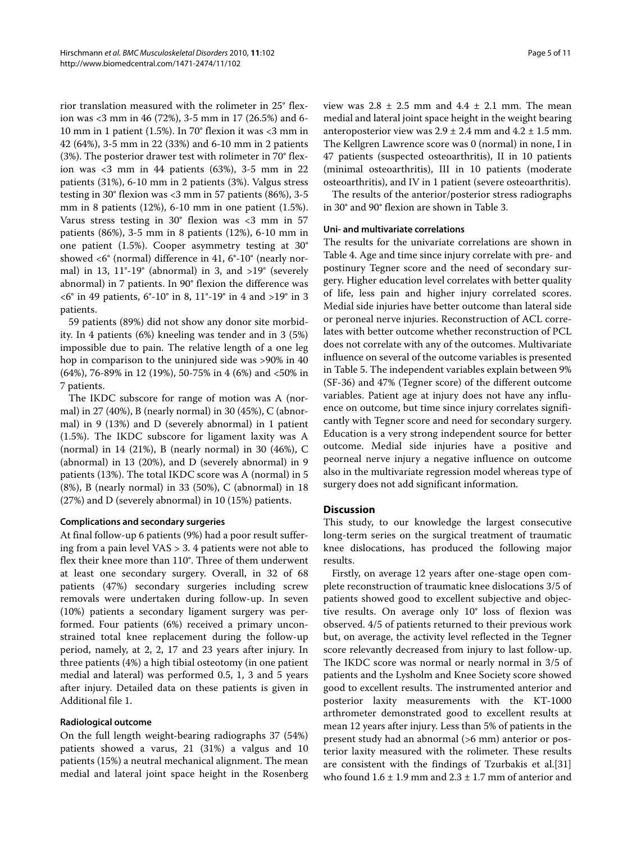rior translation measured with the rolimeter in 25° flexion was <3 mm in 46 (72%), 3-5 mm in 17 (26.5%) and 6- 10 mm in 1 patient (1.5%). In 70° flexion it was <3 mm in 42 (64%), 3-5 mm in 22 (33%) and 6-10 mm in 2 patients (3%). The posterior drawer test with rolimeter in 70° flexion was <3 mm in 44 patients (63%), 3-5 mm in 22 patients (31%), 6-10 mm in 2 patients (3%). Valgus stress testing in 30° flexion was <3 mm in 57 patients (86%), 3-5 mm in 8 patients (12%), 6-10 mm in one patient (1.5%). Varus stress testing in 30° flexion was <3 mm in 57 patients (86%), 3-5 mm in 8 patients (12%), 6-10 mm in one patient (1.5%). Cooper asymmetry testing at 30° showed <6° (normal) difference in 41, 6°-10° (nearly normal) in 13,  $11^\circ-19^\circ$  (abnormal) in 3, and  $>19^\circ$  (severely abnormal) in 7 patients. In 90° flexion the difference was <6° in 49 patients, 6°-10° in 8, 11°-19° in 4 and >19° in 3 patients.

59 patients (89%) did not show any donor site morbidity. In 4 patients (6%) kneeling was tender and in 3 (5%) impossible due to pain. The relative length of a one leg hop in comparison to the uninjured side was >90% in 40 (64%), 76-89% in 12 (19%), 50-75% in 4 (6%) and <50% in 7 patients.

The IKDC subscore for range of motion was A (normal) in 27 (40%), B (nearly normal) in 30 (45%), C (abnormal) in 9 (13%) and D (severely abnormal) in 1 patient (1.5%). The IKDC subscore for ligament laxity was A (normal) in 14 (21%), B (nearly normal) in 30 (46%), C (abnormal) in 13 (20%), and D (severely abnormal) in 9 patients (13%). The total IKDC score was A (normal) in 5 (8%), B (nearly normal) in 33 (50%), C (abnormal) in 18 (27%) and D (severely abnormal) in 10 (15%) patients.

## **Complications and secondary surgeries**

At final follow-up 6 patients (9%) had a poor result suffering from a pain level VAS > 3. 4 patients were not able to flex their knee more than 110°. Three of them underwent at least one secondary surgery. Overall, in 32 of 68 patients (47%) secondary surgeries including screw removals were undertaken during follow-up. In seven (10%) patients a secondary ligament surgery was performed. Four patients (6%) received a primary unconstrained total knee replacement during the follow-up period, namely, at 2, 2, 17 and 23 years after injury. In three patients (4%) a high tibial osteotomy (in one patient medial and lateral) was performed 0.5, 1, 3 and 5 years after injury. Detailed data on these patients is given in Additional file [1](#page-9-4).

## **Radiological outcome**

On the full length weight-bearing radiographs 37 (54%) patients showed a varus, 21 (31%) a valgus and 10 patients (15%) a neutral mechanical alignment. The mean medial and lateral joint space height in the Rosenberg view was  $2.8 \pm 2.5$  mm and  $4.4 \pm 2.1$  mm. The mean medial and lateral joint space height in the weight bearing anteroposterior view was  $2.9 \pm 2.4$  mm and  $4.2 \pm 1.5$  mm. The Kellgren Lawrence score was 0 (normal) in none, I in 47 patients (suspected osteoarthritis), II in 10 patients (minimal osteoarthritis), III in 10 patients (moderate osteoarthritis), and IV in 1 patient (severe osteoarthritis).

The results of the anterior/posterior stress radiographs in 30° and 90° flexion are shown in Table 3.

#### **Uni- and multivariate correlations**

The results for the univariate correlations are shown in Table 4. Age and time since injury correlate with pre- and postinury Tegner score and the need of secondary surgery. Higher education level correlates with better quality of life, less pain and higher injury correlated scores. Medial side injuries have better outcome than lateral side or peroneal nerve injuries. Reconstruction of ACL correlates with better outcome whether reconstruction of PCL does not correlate with any of the outcomes. Multivariate influence on several of the outcome variables is presented in Table 5. The independent variables explain between 9% (SF-36) and 47% (Tegner score) of the different outcome variables. Patient age at injury does not have any influence on outcome, but time since injury correlates significantly with Tegner score and need for secondary surgery. Education is a very strong independent source for better outcome. Medial side injuries have a positive and peorneal nerve injury a negative influence on outcome also in the multivariate regression model whereas type of surgery does not add significant information.

## **Discussion**

This study, to our knowledge the largest consecutive long-term series on the surgical treatment of traumatic knee dislocations, has produced the following major results.

Firstly, on average 12 years after one-stage open complete reconstruction of traumatic knee dislocations 3/5 of patients showed good to excellent subjective and objective results. On average only 10° loss of flexion was observed. 4/5 of patients returned to their previous work but, on average, the activity level reflected in the Tegner score relevantly decreased from injury to last follow-up. The IKDC score was normal or nearly normal in 3/5 of patients and the Lysholm and Knee Society score showed good to excellent results. The instrumented anterior and posterior laxity measurements with the KT-1000 arthrometer demonstrated good to excellent results at mean 12 years after injury. Less than 5% of patients in the present study had an abnormal (>6 mm) anterior or posterior laxity measured with the rolimeter. These results are consistent with the findings of Tzurbakis et al.[[31](#page-10-15)] who found  $1.6 \pm 1.9$  mm and  $2.3 \pm 1.7$  mm of anterior and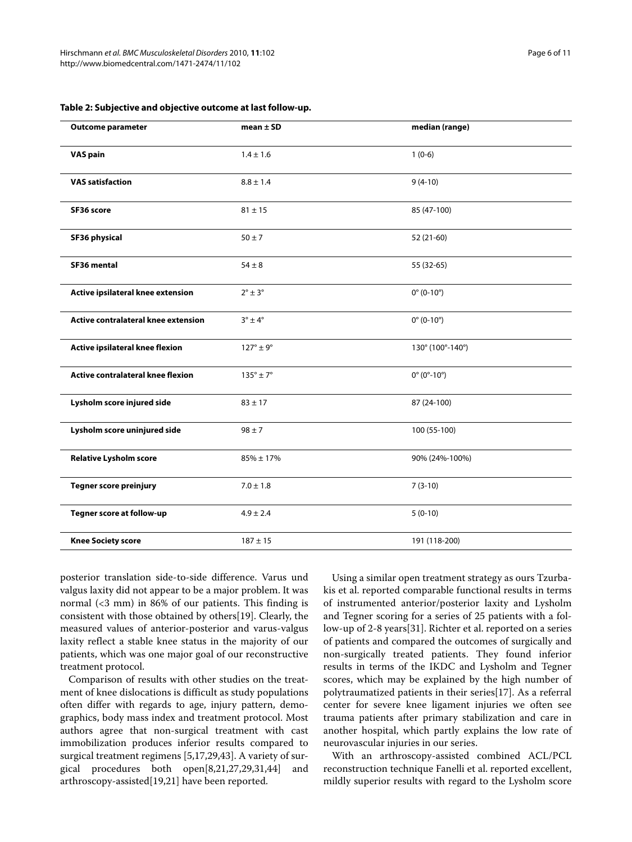| <b>Outcome parameter</b>            | mean $\pm$ SD             | median (range)                 |
|-------------------------------------|---------------------------|--------------------------------|
| <b>VAS pain</b>                     | $1.4 \pm 1.6$             | $1(0-6)$                       |
| <b>VAS satisfaction</b>             | $8.8 \pm 1.4$             | $9(4-10)$                      |
| SF36 score                          | $81 \pm 15$               | 85 (47-100)                    |
| <b>SF36 physical</b>                | $50 \pm 7$                | 52 (21-60)                     |
| SF36 mental                         | $54\pm8$                  | 55 (32-65)                     |
| Active ipsilateral knee extension   | $2^{\circ} \pm 3^{\circ}$ | $0^{\circ}$ (0-10 $^{\circ}$ ) |
| Active contralateral knee extension | $3^\circ \pm 4^\circ$     | $0^{\circ}$ (0-10°)            |
| Active ipsilateral knee flexion     | $127^\circ \pm 9^\circ$   | 130° (100°-140°)               |
| Active contralateral knee flexion   | $135^\circ \pm 7^\circ$   | $0^{\circ}$ (0°-10°)           |
| Lysholm score injured side          | $83 \pm 17$               | 87 (24-100)                    |
| Lysholm score uninjured side        | $98 \pm 7$                | 100 (55-100)                   |
| <b>Relative Lysholm score</b>       | $85\% \pm 17\%$           | 90% (24%-100%)                 |
| <b>Tegner score preinjury</b>       | $7.0 \pm 1.8$             | $7(3-10)$                      |
| Tegner score at follow-up           | $4.9 \pm 2.4$             | $5(0-10)$                      |
| <b>Knee Society score</b>           | $187 \pm 15$              | 191 (118-200)                  |

#### **Table 2: Subjective and objective outcome at last follow-up.**

posterior translation side-to-side difference. Varus und valgus laxity did not appear to be a major problem. It was normal (<3 mm) in 86% of our patients. This finding is consistent with those obtained by others[\[19](#page-10-16)]. Clearly, the measured values of anterior-posterior and varus-valgus laxity reflect a stable knee status in the majority of our patients, which was one major goal of our reconstructive treatment protocol.

Comparison of results with other studies on the treatment of knee dislocations is difficult as study populations often differ with regards to age, injury pattern, demographics, body mass index and treatment protocol. Most authors agree that non-surgical treatment with cast immobilization produces inferior results compared to surgical treatment regimens [\[5](#page-9-5)[,17](#page-10-6)[,29](#page-10-17)[,43](#page-10-18)]. A variety of surgical procedures both open[\[8](#page-9-3)[,21](#page-10-19)[,27](#page-10-20)[,29](#page-10-17),[31](#page-10-15),[44](#page-10-21)] and arthroscopy-assisted[\[19](#page-10-16)[,21](#page-10-19)] have been reported.

Using a similar open treatment strategy as ours Tzurbakis et al. reported comparable functional results in terms of instrumented anterior/posterior laxity and Lysholm and Tegner scoring for a series of 25 patients with a follow-up of 2-8 years[\[31](#page-10-15)]. Richter et al. reported on a series of patients and compared the outcomes of surgically and non-surgically treated patients. They found inferior results in terms of the IKDC and Lysholm and Tegner scores, which may be explained by the high number of polytraumatized patients in their series[[17](#page-10-6)]. As a referral center for severe knee ligament injuries we often see trauma patients after primary stabilization and care in another hospital, which partly explains the low rate of neurovascular injuries in our series.

With an arthroscopy-assisted combined ACL/PCL reconstruction technique Fanelli et al. reported excellent, mildly superior results with regard to the Lysholm score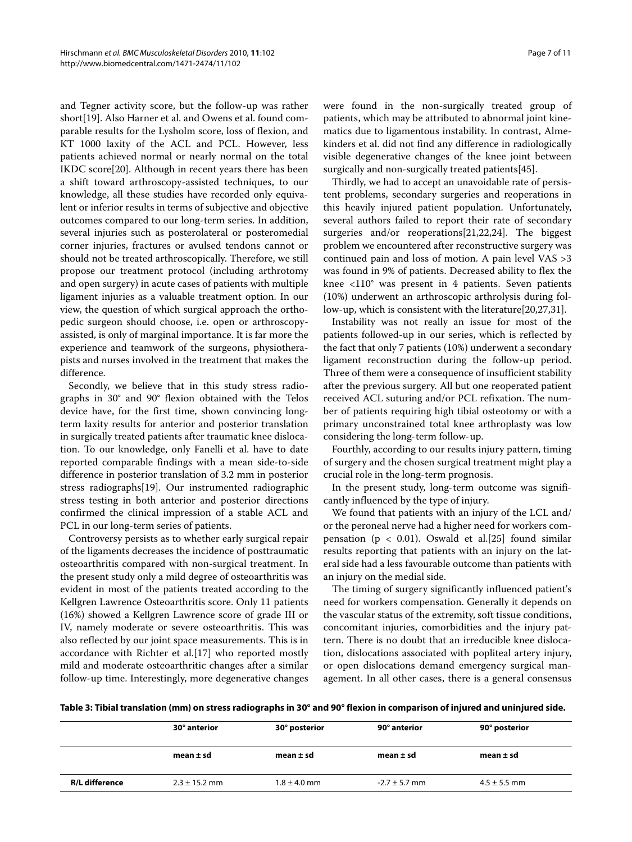and Tegner activity score, but the follow-up was rather short[\[19](#page-10-16)]. Also Harner et al. and Owens et al. found comparable results for the Lysholm score, loss of flexion, and KT 1000 laxity of the ACL and PCL. However, less patients achieved normal or nearly normal on the total IKDC score[\[20](#page-10-22)]. Although in recent years there has been a shift toward arthroscopy-assisted techniques, to our knowledge, all these studies have recorded only equivalent or inferior results in terms of subjective and objective outcomes compared to our long-term series. In addition, several injuries such as posterolateral or posteromedial corner injuries, fractures or avulsed tendons cannot or should not be treated arthroscopically. Therefore, we still propose our treatment protocol (including arthrotomy and open surgery) in acute cases of patients with multiple ligament injuries as a valuable treatment option. In our view, the question of which surgical approach the orthopedic surgeon should choose, i.e. open or arthroscopyassisted, is only of marginal importance. It is far more the experience and teamwork of the surgeons, physiotherapists and nurses involved in the treatment that makes the difference.

Secondly, we believe that in this study stress radiographs in 30° and 90° flexion obtained with the Telos device have, for the first time, shown convincing longterm laxity results for anterior and posterior translation in surgically treated patients after traumatic knee dislocation. To our knowledge, only Fanelli et al. have to date reported comparable findings with a mean side-to-side difference in posterior translation of 3.2 mm in posterior stress radiographs[\[19](#page-10-16)]. Our instrumented radiographic stress testing in both anterior and posterior directions confirmed the clinical impression of a stable ACL and PCL in our long-term series of patients.

Controversy persists as to whether early surgical repair of the ligaments decreases the incidence of posttraumatic osteoarthritis compared with non-surgical treatment. In the present study only a mild degree of osteoarthritis was evident in most of the patients treated according to the Kellgren Lawrence Osteoarthritis score. Only 11 patients (16%) showed a Kellgren Lawrence score of grade III or IV, namely moderate or severe osteoarthritis. This was also reflected by our joint space measurements. This is in accordance with Richter et al.[[17\]](#page-10-6) who reported mostly mild and moderate osteoarthritic changes after a similar follow-up time. Interestingly, more degenerative changes were found in the non-surgically treated group of patients, which may be attributed to abnormal joint kinematics due to ligamentous instability. In contrast, Almekinders et al. did not find any difference in radiologically visible degenerative changes of the knee joint between surgically and non-surgically treated patients[\[45\]](#page-10-23).

Thirdly, we had to accept an unavoidable rate of persistent problems, secondary surgeries and reoperations in this heavily injured patient population. Unfortunately, several authors failed to report their rate of secondary surgeries and/or reoperations[\[21](#page-10-19)[,22](#page-10-24)[,24](#page-10-25)]. The biggest problem we encountered after reconstructive surgery was continued pain and loss of motion. A pain level VAS >3 was found in 9% of patients. Decreased ability to flex the knee <110° was present in 4 patients. Seven patients (10%) underwent an arthroscopic arthrolysis during follow-up, which is consistent with the literature[[20](#page-10-22),[27,](#page-10-20)[31\]](#page-10-15).

Instability was not really an issue for most of the patients followed-up in our series, which is reflected by the fact that only 7 patients (10%) underwent a secondary ligament reconstruction during the follow-up period. Three of them were a consequence of insufficient stability after the previous surgery. All but one reoperated patient received ACL suturing and/or PCL refixation. The number of patients requiring high tibial osteotomy or with a primary unconstrained total knee arthroplasty was low considering the long-term follow-up.

Fourthly, according to our results injury pattern, timing of surgery and the chosen surgical treatment might play a crucial role in the long-term prognosis.

In the present study, long-term outcome was significantly influenced by the type of injury.

We found that patients with an injury of the LCL and/ or the peroneal nerve had a higher need for workers compensation ( $p < 0.01$ ). Oswald et al.[[25\]](#page-10-26) found similar results reporting that patients with an injury on the lateral side had a less favourable outcome than patients with an injury on the medial side.

The timing of surgery significantly influenced patient's need for workers compensation. Generally it depends on the vascular status of the extremity, soft tissue conditions, concomitant injuries, comorbidities and the injury pattern. There is no doubt that an irreducible knee dislocation, dislocations associated with popliteal artery injury, or open dislocations demand emergency surgical management. In all other cases, there is a general consensus

| Table 3: Tibial translation (mm) on stress radiographs in 30° and 90° flexion in comparison of injured and uninjured side. |  |  |  |
|----------------------------------------------------------------------------------------------------------------------------|--|--|--|
|----------------------------------------------------------------------------------------------------------------------------|--|--|--|

|                | 30° anterior      | 30° posterior    | 90° anterior      | 90° posterior    |
|----------------|-------------------|------------------|-------------------|------------------|
|                | mean $\pm$ sd     | mean $\pm$ sd    | mean $\pm$ sd     | mean $\pm$ sd    |
| R/L difference | $2.3 \pm 15.2$ mm | $1.8 \pm 4.0$ mm | $-2.7 \pm 5.7$ mm | $4.5 \pm 5.5$ mm |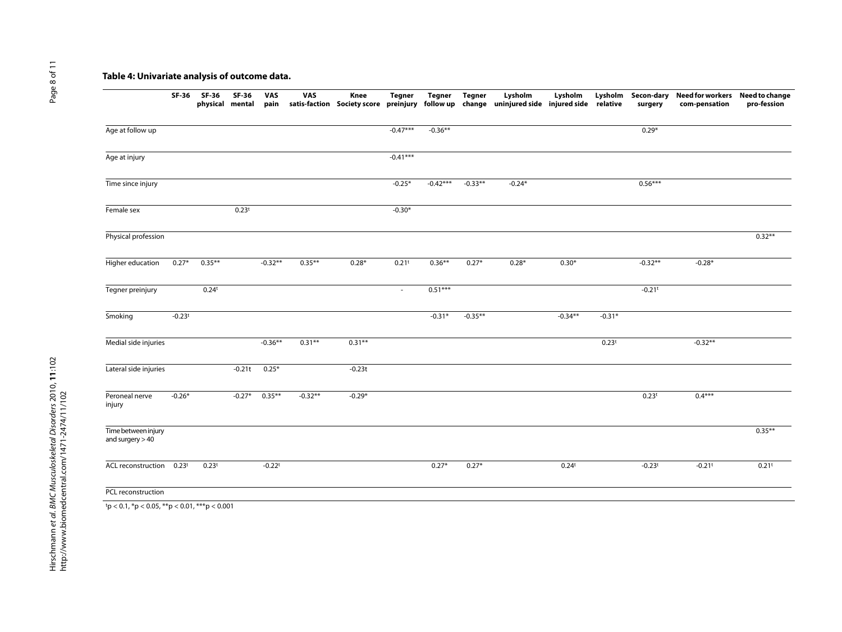## **Table 4: Univariate analysis of outcome data.**

|                                          | SF-36             | SF-36<br>physical mental | SF-36             | VAS<br>pain | VAS       | Knee<br>satis-faction Society score preinjury | <b>Tegner</b>     | Tegner     | <b>Tegner</b> | Lysholm<br>follow up change uninjured side injured side relative | Lysholm           | Lysholm           | surgery           | Secon-dary Need for workers Need to change<br>com-pensation | pro-fession       |
|------------------------------------------|-------------------|--------------------------|-------------------|-------------|-----------|-----------------------------------------------|-------------------|------------|---------------|------------------------------------------------------------------|-------------------|-------------------|-------------------|-------------------------------------------------------------|-------------------|
| Age at follow up                         |                   |                          |                   |             |           |                                               | $-0.47***$        | $-0.36**$  |               |                                                                  |                   |                   | $0.29*$           |                                                             |                   |
| Age at injury                            |                   |                          |                   |             |           |                                               | $-0.41***$        |            |               |                                                                  |                   |                   |                   |                                                             |                   |
| Time since injury                        |                   |                          |                   |             |           |                                               | $-0.25*$          | $-0.42***$ | $-0.33**$     | $-0.24*$                                                         |                   |                   | $0.56***$         |                                                             |                   |
| Female sex                               |                   |                          | 0.23 <sup>t</sup> |             |           |                                               | $-0.30*$          |            |               |                                                                  |                   |                   |                   |                                                             |                   |
| Physical profession                      |                   |                          |                   |             |           |                                               |                   |            |               |                                                                  |                   |                   |                   |                                                             | $0.32**$          |
| Higher education                         | $0.27*$           | $0.35***$                |                   | $-0.32**$   | $0.35***$ | $0.28*$                                       | 0.21 <sup>t</sup> | $0.36**$   | $0.27*$       | $0.28*$                                                          | $0.30*$           |                   | $-0.32**$         | $-0.28*$                                                    |                   |
| Tegner preinjury                         |                   | 0.24 <sup>t</sup>        |                   |             |           |                                               | $\sim$            | $0.51***$  |               |                                                                  |                   |                   | $-0.21$ t         |                                                             |                   |
| Smoking                                  | $-0.23t$          |                          |                   |             |           |                                               |                   | $-0.31*$   | $-0.35**$     |                                                                  | $-0.34**$         | $-0.31*$          |                   |                                                             |                   |
| Medial side injuries                     |                   |                          |                   | $-0.36**$   | $0.31**$  | $0.31**$                                      |                   |            |               |                                                                  |                   | 0.23 <sup>t</sup> |                   | $-0.32**$                                                   |                   |
| Lateral side injuries                    |                   |                          | $-0.21t$          | $0.25*$     |           | $-0.23t$                                      |                   |            |               |                                                                  |                   |                   |                   |                                                             |                   |
| Peroneal nerve<br>injury                 | $-0.26*$          |                          | $-0.27*$          | $0.35***$   | $-0.32**$ | $-0.29*$                                      |                   |            |               |                                                                  |                   |                   | 0.23 <sup>t</sup> | $0.4***$                                                    |                   |
| Time between injury<br>and surgery $>40$ |                   |                          |                   |             |           |                                               |                   |            |               |                                                                  |                   |                   |                   |                                                             | $0.35***$         |
| ACL reconstruction                       | 0.23 <sup>t</sup> | 0.23 <sup>t</sup>        |                   | $-0.22t$    |           |                                               |                   | $0.27*$    | $0.27*$       |                                                                  | 0.24 <sup>t</sup> |                   | $-0.23t$          | $-0.21$ t                                                   | 0.21 <sup>t</sup> |
| PCL reconstruction                       |                   |                          |                   |             |           |                                               |                   |            |               |                                                                  |                   |                   |                   |                                                             |                   |

Page 8 of 11 Page 8 of 11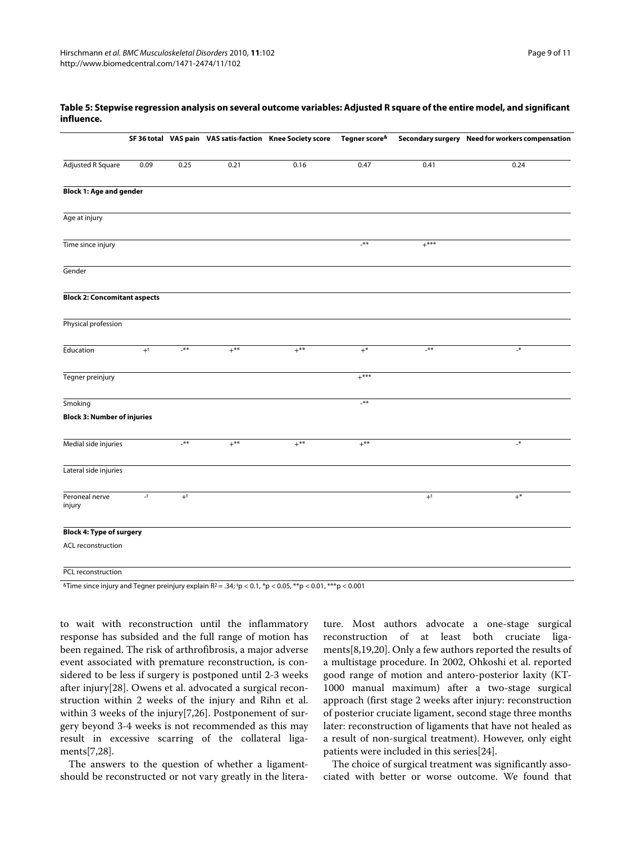|                                     |              |       |        | SF 36 total VAS pain VAS satis-faction Knee Society score Tegner score& |        |        | Secondary surgery Need for workers compensation |
|-------------------------------------|--------------|-------|--------|-------------------------------------------------------------------------|--------|--------|-------------------------------------------------|
| <b>Adjusted R Square</b>            | 0.09         | 0.25  | 0.21   | 0.16                                                                    | 0.47   | 0.41   | 0.24                                            |
| <b>Block 1: Age and gender</b>      |              |       |        |                                                                         |        |        |                                                 |
| Age at injury                       |              |       |        |                                                                         |        |        |                                                 |
| Time since injury                   |              |       |        |                                                                         | $***$  | $+***$ |                                                 |
| Gender                              |              |       |        |                                                                         |        |        |                                                 |
| <b>Block 2: Concomitant aspects</b> |              |       |        |                                                                         |        |        |                                                 |
| Physical profession                 |              |       |        |                                                                         |        |        |                                                 |
| Education                           | $+^{\rm t}$  | $***$ | $+***$ | $+***$                                                                  | $+^*$  | $***$  | $\mathcal{N}_-$                                 |
| Tegner preinjury                    |              |       |        |                                                                         | $+***$ |        |                                                 |
| Smoking                             |              |       |        |                                                                         | $***$  |        |                                                 |
| <b>Block 3: Number of injuries</b>  |              |       |        |                                                                         |        |        |                                                 |
| Medial side injuries                |              | $***$ | $+***$ | $+$ **                                                                  | $+***$ |        | $\mathbf{H}_{-}$                                |
| Lateral side injuries               |              |       |        |                                                                         |        |        |                                                 |
| Peroneal nerve<br>injury            | $\mathsf{I}$ | $+t$  |        |                                                                         |        | $+t$   | $+^*$                                           |
| <b>Block 4: Type of surgery</b>     |              |       |        |                                                                         |        |        |                                                 |
| ACL reconstruction                  |              |       |        |                                                                         |        |        |                                                 |
| PCL reconstruction                  |              |       |        |                                                                         |        |        |                                                 |

#### **Table 5: Stepwise regression analysis on several outcome variables: Adjusted R square of the entire model, and significant influence.**

 $^{\&}$ Time since injury and Tegner preinjury explain R2 = .34; <sup>t</sup>p < 0.1, \*p < 0.05, \*\*p < 0.01, \*\*\*p < 0.001

to wait with reconstruction until the inflammatory response has subsided and the full range of motion has been regained. The risk of arthrofibrosis, a major adverse event associated with premature reconstruction, is considered to be less if surgery is postponed until 2-3 weeks after injury[[28\]](#page-10-27). Owens et al. advocated a surgical reconstruction within 2 weeks of the injury and Rihn et al. within 3 weeks of the injury[[7,](#page-9-6)[26\]](#page-10-28). Postponement of surgery beyond 3-4 weeks is not recommended as this may result in excessive scarring of the collateral ligaments[\[7](#page-9-6)[,28](#page-10-27)].

The answers to the question of whether a ligamentshould be reconstructed or not vary greatly in the literature. Most authors advocate a one-stage surgical reconstruction of at least both cruciate ligaments[\[8](#page-9-3)[,19](#page-10-16)[,20](#page-10-22)]. Only a few authors reported the results of a multistage procedure. In 2002, Ohkoshi et al. reported good range of motion and antero-posterior laxity (KT-1000 manual maximum) after a two-stage surgical approach (first stage 2 weeks after injury: reconstruction of posterior cruciate ligament, second stage three months later: reconstruction of ligaments that have not healed as a result of non-surgical treatment). However, only eight patients were included in this series[\[24](#page-10-25)].

The choice of surgical treatment was significantly associated with better or worse outcome. We found that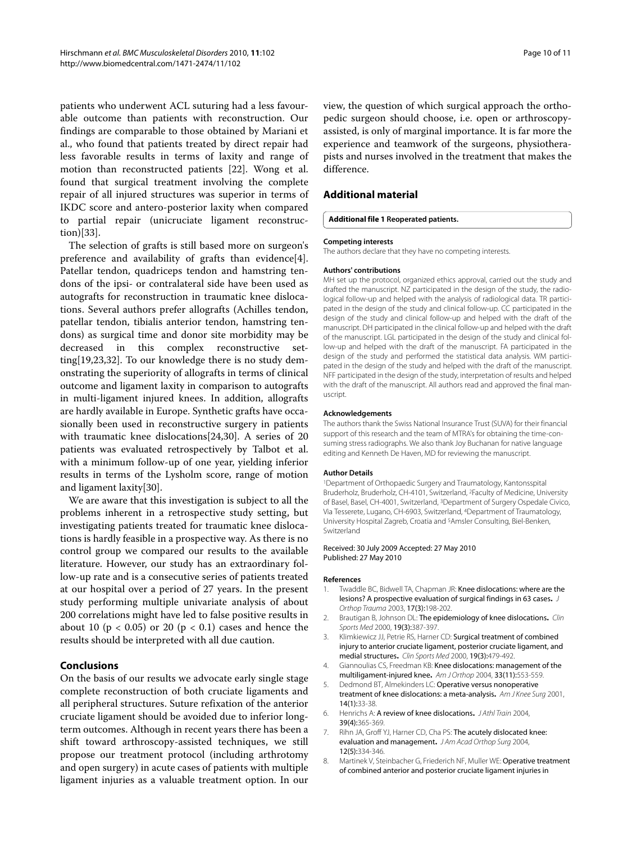patients who underwent ACL suturing had a less favourable outcome than patients with reconstruction. Our findings are comparable to those obtained by Mariani et al., who found that patients treated by direct repair had less favorable results in terms of laxity and range of motion than reconstructed patients [\[22](#page-10-24)]. Wong et al. found that surgical treatment involving the complete repair of all injured structures was superior in terms of IKDC score and antero-posterior laxity when compared to partial repair (unicruciate ligament reconstruction)[[33](#page-10-29)].

The selection of grafts is still based more on surgeon's preference and availability of grafts than evidence[\[4](#page-9-7)]. Patellar tendon, quadriceps tendon and hamstring tendons of the ipsi- or contralateral side have been used as autografts for reconstruction in traumatic knee dislocations. Several authors prefer allografts (Achilles tendon, patellar tendon, tibialis anterior tendon, hamstring tendons) as surgical time and donor site morbidity may be decreased in this complex reconstructive setting[[19,](#page-10-16)[23,](#page-10-30)[32\]](#page-10-31). To our knowledge there is no study demonstrating the superiority of allografts in terms of clinical outcome and ligament laxity in comparison to autografts in multi-ligament injured knees. In addition, allografts are hardly available in Europe. Synthetic grafts have occasionally been used in reconstructive surgery in patients with traumatic knee dislocations[\[24](#page-10-25),[30](#page-10-32)]. A series of 20 patients was evaluated retrospectively by Talbot et al. with a minimum follow-up of one year, yielding inferior results in terms of the Lysholm score, range of motion and ligament laxity[[30\]](#page-10-32).

We are aware that this investigation is subject to all the problems inherent in a retrospective study setting, but investigating patients treated for traumatic knee dislocations is hardly feasible in a prospective way. As there is no control group we compared our results to the available literature. However, our study has an extraordinary follow-up rate and is a consecutive series of patients treated at our hospital over a period of 27 years. In the present study performing multiple univariate analysis of about 200 correlations might have led to false positive results in about 10 ( $p < 0.05$ ) or 20 ( $p < 0.1$ ) cases and hence the results should be interpreted with all due caution.

#### **Conclusions**

On the basis of our results we advocate early single stage complete reconstruction of both cruciate ligaments and all peripheral structures. Suture refixation of the anterior cruciate ligament should be avoided due to inferior longterm outcomes. Although in recent years there has been a shift toward arthroscopy-assisted techniques, we still propose our treatment protocol (including arthrotomy and open surgery) in acute cases of patients with multiple ligament injuries as a valuable treatment option. In our view, the question of which surgical approach the orthopedic surgeon should choose, i.e. open or arthroscopyassisted, is only of marginal importance. It is far more the experience and teamwork of the surgeons, physiotherapists and nurses involved in the treatment that makes the difference.

## **Additional material**

#### <span id="page-9-4"></span>**[Additional file 1](http://www.biomedcentral.com/content/supplementary/1471-2474-11-102-S1.DOC) Reoperated patients.**

#### **Competing interests**

The authors declare that they have no competing interests.

#### **Authors' contributions**

MH set up the protocol, organized ethics approval, carried out the study and drafted the manuscript. NZ participated in the design of the study, the radiological follow-up and helped with the analysis of radiological data. TR participated in the design of the study and clinical follow-up. CC participated in the design of the study and clinical follow-up and helped with the draft of the manuscript. DH participated in the clinical follow-up and helped with the draft of the manuscript. LGL participated in the design of the study and clinical follow-up and helped with the draft of the manuscript. FA participated in the design of the study and performed the statistical data analysis. WM participated in the design of the study and helped with the draft of the manuscript. NFF participated in the design of the study, interpretation of results and helped with the draft of the manuscript. All authors read and approved the final manuscript.

#### **Acknowledgements**

The authors thank the Swiss National Insurance Trust (SUVA) for their financial support of this research and the team of MTRA's for obtaining the time-consuming stress radiographs. We also thank Joy Buchanan for native language editing and Kenneth De Haven, MD for reviewing the manuscript.

#### **Author Details**

1Department of Orthopaedic Surgery and Traumatology, Kantonsspital Bruderholz, Bruderholz, CH-4101, Switzerland, 2Faculty of Medicine, University of Basel, Basel, CH-4001, Switzerland, 3Department of Surgery Ospedale Civico, Via Tesserete, Lugano, CH-6903, Switzerland, 4Department of Traumatology, University Hospital Zagreb, Croatia and 5Amsler Consulting, Biel-Benken, Switzerland

#### Received: 30 July 2009 Accepted: 27 May 2010 Published: 27 May 2010

#### **References**

- <span id="page-9-0"></span>1. Twaddle BC, Bidwell TA, Chapman JR: Knee dislocations: where are the lesions? A prospective evaluation of surgical findings in 63 cases**.** J Orthop Trauma 2003, 17(3):198-202.
- <span id="page-9-1"></span>2. Brautigan B, Johnson DL: The epidemiology of knee dislocations**.** Clin Sports Med 2000, 19(3):387-397.
- <span id="page-9-2"></span>3. Klimkiewicz JJ, Petrie RS, Harner CD: Surgical treatment of combined injury to anterior cruciate ligament, posterior cruciate ligament, and medial structures**.** Clin Sports Med 2000, 19(3):479-492.
- <span id="page-9-7"></span>4. Giannoulias CS, Freedman KB: Knee dislocations: management of the multiligament-injured knee**[.](http://www.ncbi.nlm.nih.gov/entrez/query.fcgi?cmd=Retrieve&db=PubMed&dopt=Abstract&list_uids=15603515)** Am J Orthop 2004, 33(11):553-559.
- <span id="page-9-5"></span>5. Dedmond BT, Almekinders LC: Operative versus nonoperative treatment of knee dislocations: a meta-analysis**.** Am J Knee Surg 2001, 14(1):33-38.
- 6. Henrichs A: A review of knee dislocations**.** J Athl Train 2004, 39(4):365-369.
- <span id="page-9-6"></span>7. Rihn JA, Groff YJ, Harner CD, Cha PS: The acutely dislocated knee: evaluation and management**.** J Am Acad Orthop Surg 2004, 12(5):334-346.
- <span id="page-9-3"></span>8. Martinek V, Steinbacher G, Friederich NF, Muller WE: Operative treatment of combined anterior and posterior cruciate ligament injuries in